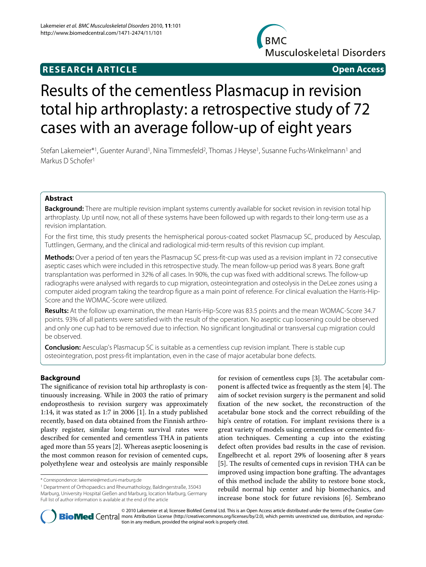## **RESEARCH ARTICLE Open Access**



# Results of the cementless Plasmacup in revision total hip arthroplasty: a retrospective study of 72 cases with an average follow-up of eight years

Stefan Lakemeier\*1, Guenter Aurand<sup>1</sup>, Nina Timmesfeld<sup>2</sup>, Thomas J Heyse<sup>1</sup>, Susanne Fuchs-Winkelmann<sup>1</sup> and Markus D Schofer<sup>1</sup>

### **Abstract**

**Background:** There are multiple revision implant systems currently available for socket revision in revision total hip arthroplasty. Up until now, not all of these systems have been followed up with regards to their long-term use as a revision implantation.

For the first time, this study presents the hemispherical porous-coated socket Plasmacup SC, produced by Aesculap, Tuttlingen, Germany, and the clinical and radiological mid-term results of this revision cup implant.

**Methods:** Over a period of ten years the Plasmacup SC press-fit-cup was used as a revision implant in 72 consecutive aseptic cases which were included in this retrospective study. The mean follow-up period was 8 years. Bone graft transplantation was performed in 32% of all cases. In 90%, the cup was fixed with additional screws. The follow-up radiographs were analysed with regards to cup migration, osteointegration and osteolysis in the DeLee zones using a computer aided program taking the teardrop figure as a main point of reference. For clinical evaluation the Harris-Hip-Score and the WOMAC-Score were utilized.

**Results:** At the follow up examination, the mean Harris-Hip-Score was 83.5 points and the mean WOMAC-Score 34.7 points. 93% of all patients were satisfied with the result of the operation. No aseptic cup loosening could be observed and only one cup had to be removed due to infection. No significant longitudinal or transversal cup migration could be observed.

**Conclusion:** Aesculap's Plasmacup SC is suitable as a cementless cup revision implant. There is stable cup osteointegration, post press-fit implantation, even in the case of major acetabular bone defects.

#### **Background**

The significance of revision total hip arthroplasty is continuously increasing. While in 2003 the ratio of primary endoprosthesis to revision surgery was approximately 1:14, it was stated as 1:7 in 2006 [\[1](#page-5-0)]. In a study published recently, based on data obtained from the Finnish arthroplasty register, similar long-term survival rates were described for cemented and cementless THA in patients aged more than 55 years [[2](#page-5-1)]. Whereas aseptic loosening is the most common reason for revision of cemented cups, polyethylene wear and osteolysis are mainly responsible

1 Department of Orthopaedics and Rheumathology, Baldingerstraße, 35043 Marburg, University Hospital Gießen and Marburg, location Marburg, Germany Full list of author information is available at the end of the article

for revision of cementless cups [\[3](#page-5-2)]. The acetabular component is affected twice as frequently as the stem [[4\]](#page-5-3). The aim of socket revision surgery is the permanent and solid fixation of the new socket, the reconstruction of the acetabular bone stock and the correct rebuilding of the hip's centre of rotation. For implant revisions there is a great variety of models using cementless or cemented fixation techniques. Cementing a cup into the existing defect often provides bad results in the case of revision. Engelbrecht et al. report 29% of loosening after 8 years [[5\]](#page-5-4). The results of cemented cups in revision THA can be improved using impaction bone grafting. The advantages of this method include the ability to restore bone stock, rebuild normal hip center and hip biomechanics, and increase bone stock for future revisions [\[6](#page-5-5)]. Sembrano



© 2010 Lakemeier et al; licensee BioMed Central Ltd. This is an Open Access article distributed under the terms of the Creative Com-**Bio Med** Central mons Attribution License (http://creativecommons.org/licenses/by/2.0), which permits unrestricted use, distribution, and reproduction in any medium, provided the original work is properly cited.

<sup>\*</sup> Correspondence: lakemeie@med.uni-marburg.de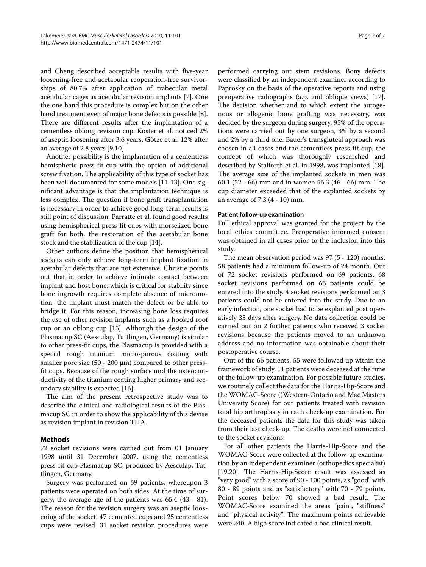and Cheng described acceptable results with five-year loosening-free and acetabular reoperation-free survivorships of 80.7% after application of trabecular metal acetabular cages as acetabular revision implants [[7\]](#page-5-6). One the one hand this procedure is complex but on the other hand treatment even of major bone defects is possible [\[8](#page-5-7)]. There are different results after the implantation of a cementless oblong revision cup. Koster et al. noticed 2% of aseptic loosening after 3.6 years, Götze et al. 12% after an average of 2.8 years [\[9](#page-5-8)[,10](#page-5-9)].

Another possibility is the implantation of a cementless hemispheric press-fit-cup with the option of additional screw fixation. The applicability of this type of socket has been well documented for some models [[11-](#page-5-10)[13](#page-5-11)]. One significant advantage is that the implantation technique is less complex. The question if bone graft transplantation is necessary in order to achieve good long-term results is still point of discussion. Parratte et al. found good results using hemispherical press-fit cups with morselized bone graft for both, the restoration of the acetabular bone stock and the stabilization of the cup [[14\]](#page-5-12).

Other authors define the position that hemispherical sockets can only achieve long-term implant fixation in acetabular defects that are not extensive. Christie points out that in order to achieve intimate contact between implant and host bone, which is critical for stability since bone ingrowth requires complete absence of micromotion, the implant must match the defect or be able to bridge it. For this reason, increasing bone loss requires the use of other revision implants such as a hooked roof cup or an oblong cup [\[15](#page-5-13)]. Although the design of the Plasmacup SC (Aesculap, Tuttlingen, Germany) is similar to other press-fit cups, the Plasmacup is provided with a special rough titanium micro-porous coating with smaller pore size (50 - 200 μm) compared to other pressfit cups. Because of the rough surface und the osteoconductivity of the titanium coating higher primary and secondary stability is expected [\[16](#page-5-14)].

The aim of the present retrospective study was to describe the clinical and radiological results of the Plasmacup SC in order to show the applicability of this devise as revision implant in revision THA.

#### **Methods**

72 socket revisions were carried out from 01 January 1998 until 31 December 2007, using the cementless press-fit-cup Plasmacup SC, produced by Aesculap, Tuttlingen, Germany.

Surgery was performed on 69 patients, whereupon 3 patients were operated on both sides. At the time of surgery, the average age of the patients was 65.4 (43 - 81). The reason for the revision surgery was an aseptic loosening of the socket. 47 cemented cups and 25 cementless cups were revised. 31 socket revision procedures were

performed carrying out stem revisions. Bony defects were classified by an independent examiner according to Paprosky on the basis of the operative reports and using preoperative radiographs (a.p. and oblique views) [\[17](#page-5-15)]. The decision whether and to which extent the autogenous or allogenic bone grafting was necessary, was decided by the surgeon during surgery. 95% of the operations were carried out by one surgeon, 3% by a second and 2% by a third one. Bauer's transgluteal approach was chosen in all cases and the cementless press-fit-cup, the concept of which was thoroughly researched and described by Stalforth et al. in 1998, was implanted [\[18](#page-5-16)]. The average size of the implanted sockets in men was 60.1 (52 - 66) mm and in women 56.3 (46 - 66) mm. The cup diameter exceeded that of the explanted sockets by an average of 7.3 (4 - 10) mm.

#### **Patient follow-up examination**

Full ethical approval was granted for the project by the local ethics committee. Preoperative informed consent was obtained in all cases prior to the inclusion into this study.

The mean observation period was 97 (5 - 120) months. 58 patients had a minimum follow-up of 24 month. Out of 72 socket revisions performed on 69 patients, 68 socket revisions performed on 66 patients could be entered into the study. 4 socket revisions performed on 3 patients could not be entered into the study. Due to an early infection, one socket had to be explanted post operatively 35 days after surgery. No data collection could be carried out on 2 further patients who received 3 socket revisions because the patients moved to an unknown address and no information was obtainable about their postoperative course.

Out of the 66 patients, 55 were followed up within the framework of study. 11 patients were deceased at the time of the follow-up examination. For possible future studies, we routinely collect the data for the Harris-Hip-Score and the WOMAC-Score ((Western-Ontario and Mac Masters University Score) for our patients treated with revision total hip arthroplasty in each check-up examination. For the deceased patients the data for this study was taken from their last check-up. The deaths were not connected to the socket revisions.

For all other patients the Harris-Hip-Score and the WOMAC-Score were collected at the follow-up examination by an independent examiner (orthopedics specialist) [[19,](#page-5-17)[20\]](#page-5-18). The Harris-Hip-Score result was assessed as "very good" with a score of 90 - 100 points, as "good" with 80 - 89 points and as "satisfactory" with 70 - 79 points. Point scores below 70 showed a bad result. The WOMAC-Score examined the areas "pain", "stiffness" and "physical activity". The maximum points achievable were 240. A high score indicated a bad clinical result.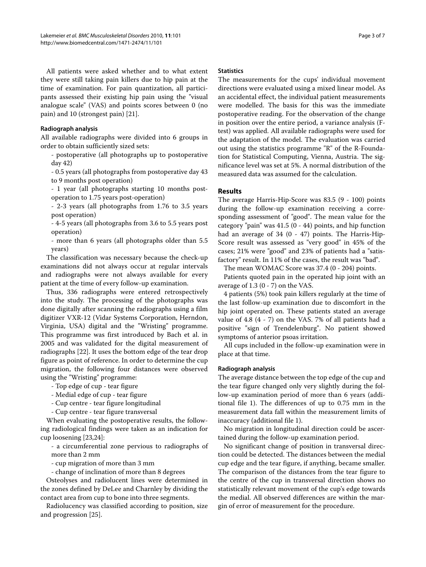All patients were asked whether and to what extent they were still taking pain killers due to hip pain at the time of examination. For pain quantization, all participants assessed their existing hip pain using the "visual analogue scale" (VAS) and points scores between 0 (no pain) and 10 (strongest pain) [\[21](#page-5-19)].

#### **Radiograph analysis**

All available radiographs were divided into 6 groups in order to obtain sufficiently sized sets:

- postoperative (all photographs up to postoperative day 42)

- 0.5 years (all photographs from postoperative day 43 to 9 months post operation)

- 1 year (all photographs starting 10 months postoperation to 1.75 years post-operation)

- 2-3 years (all photographs from 1.76 to 3.5 years post operation)

- 4-5 years (all photographs from 3.6 to 5.5 years post operation)

- more than 6 years (all photographs older than 5.5 years)

The classification was necessary because the check-up examinations did not always occur at regular intervals and radiographs were not always available for every patient at the time of every follow-up examination.

Thus, 336 radiographs were entered retrospectively into the study. The processing of the photographs was done digitally after scanning the radiographs using a film digitizer VXR-12 (Vidar Systems Corporation, Herndon, Virginia, USA) digital and the "Wristing" programme. This programme was first introduced by Bach et al. in 2005 and was validated for the digital measurement of radiographs [[22\]](#page-5-20). It uses the bottom edge of the tear drop figure as point of reference. In order to determine the cup migration, the following four distances were observed using the "Wristing" programme:

- Top edge of cup tear figure
- Medial edge of cup tear figure
- Cup centre tear figure longitudinal
- Cup centre tear figure transversal

When evaluating the postoperative results, the following radiological findings were taken as an indication for cup loosening [\[23](#page-5-21)[,24](#page-5-22)]:

- a circumferential zone pervious to radiographs of more than 2 mm

- cup migration of more than 3 mm

- change of inclination of more than 8 degrees

Osteolyses and radiolucent lines were determined in the zones defined by DeLee and Charnley by dividing the contact area from cup to bone into three segments.

Radiolucency was classified according to position, size and progression [[25\]](#page-5-23).

#### **Statistics**

The measurements for the cups' individual movement directions were evaluated using a mixed linear model. As an accidental effect, the individual patient measurements were modelled. The basis for this was the immediate postoperative reading. For the observation of the change in position over the entire period, a variance analysis (Ftest) was applied. All available radiographs were used for the adaptation of the model. The evaluation was carried out using the statistics programme "R" of the R-Foundation for Statistical Computing, Vienna, Austria. The significance level was set at 5%. A normal distribution of the measured data was assumed for the calculation.

#### **Results**

The average Harris-Hip-Score was 83.5 (9 - 100) points during the follow-up examination receiving a corresponding assessment of "good". The mean value for the category "pain" was 41.5 (0 - 44) points, and hip function had an average of 34 (0 - 47) points. The Harris-Hip-Score result was assessed as "very good" in 45% of the cases; 21% were "good" and 23% of patients had a "satisfactory" result. In 11% of the cases, the result was "bad".

The mean WOMAC Score was 37.4 (0 - 204) points.

Patients quoted pain in the operated hip joint with an average of  $1.3$  (0 - 7) on the VAS.

4 patients (5%) took pain killers regularly at the time of the last follow-up examination due to discomfort in the hip joint operated on. These patients stated an average value of 4.8 (4 - 7) on the VAS. 7% of all patients had a positive "sign of Trendelenburg". No patient showed symptoms of anterior psoas irritation.

All cups included in the follow-up examination were in place at that time.

#### **Radiograph analysis**

The average distance between the top edge of the cup and the tear figure changed only very slightly during the follow-up examination period of more than 6 years (additional file [1\)](#page-5-24). The differences of up to 0.75 mm in the measurement data fall within the measurement limits of inaccuracy (additional file [1\)](#page-5-24).

No migration in longitudinal direction could be ascertained during the follow-up examination period.

No significant change of position in transversal direction could be detected. The distances between the medial cup edge and the tear figure, if anything, became smaller. The comparison of the distances from the tear figure to the centre of the cup in transversal direction shows no statistically relevant movement of the cup's edge towards the medial. All observed differences are within the margin of error of measurement for the procedure.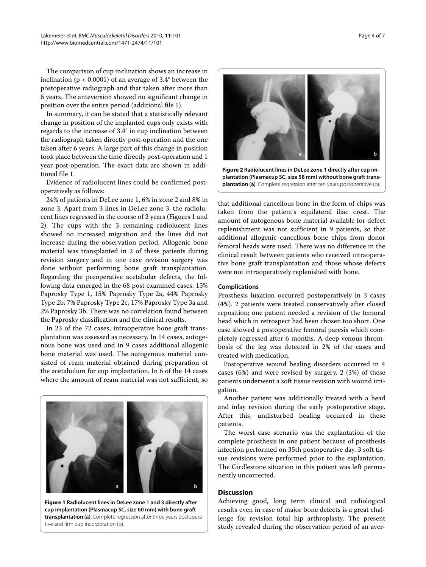The comparison of cup inclination shows an increase in inclination ( $p < 0.0001$ ) of an average of 3.4° between the postoperative radiograph and that taken after more than 6 years. The anteversion showed no significant change in position over the entire period (additional file [1\)](#page-5-24).

In summary, it can be stated that a statistically relevant change in position of the implanted cups only exists with regards to the increase of 3.4° in cup inclination between the radiograph taken directly post-operation and the one taken after 6 years. A large part of this change in position took place between the time directly post-operation and 1 year post-operation. The exact data are shown in additional file [1](#page-5-24).

Evidence of radiolucent lines could be confirmed postoperatively as follows:

24% of patients in DeLee zone 1, 6% in zone 2 and 8% in zone 3. Apart from 3 lines in DeLee zone 3, the radiolucent lines regressed in the course of 2 years (Figures [1](#page-3-0) and [2\)](#page-3-1). The cups with the 3 remaining radiolucent lines showed no increased migration and the lines did not increase during the observation period. Allogenic bone material was transplanted in 2 of these patients during revision surgery and in one case revision surgery was done without performing bone graft transplantation. Regarding the preoperative acetabular defects, the following data emerged in the 68 post examined cases: 15% Paprosky Type 1, 15% Paprosky Type 2a, 44% Paprosky Type 2b, 7% Paprosky Type 2c, 17% Paprosky Type 3a and 2% Paprosky 3b. There was no correlation found between the Paprosky classification and the clinical results.

<span id="page-3-0"></span>In 23 of the 72 cases, intraoperative bone graft transplantation was assessed as necessary. In 14 cases, autogenous bone was used and in 9 cases additional allogenic bone material was used. The autogenous material consisted of ream material obtained during preparation of the acetabulum for cup implantation. In 6 of the 14 cases where the amount of ream material was not sufficient, so



<span id="page-3-1"></span>

**plantation (Plasmacup SC, size 58 mm) without bone graft transplantation (a)**. Complete regression after ten years postoperative (b).

that additional cancellous bone in the form of chips was taken from the patient's equilateral iliac crest. The amount of autogenous bone material available for defect replenishment was not sufficient in 9 patients, so that additional allogenic cancellous bone chips from donor femoral heads were used. There was no difference in the clinical result between patients who received intraoperative bone graft transplantation and those whose defects were not intraoperatively replenished with bone.

#### **Complications**

Prosthesis luxation occurred postoperatively in 3 cases (4%). 2 patients were treated conservatively after closed reposition; one patient needed a revision of the femoral head which in retrospect had been chosen too short. One case showed a postoperative femoral paresis which completely regressed after 6 months. A deep venous thrombosis of the leg was detected in 2% of the cases and treated with medication.

Postoperative wound healing disorders occurred in 4 cases (6%) and were revised by surgery. 2 (3%) of these patients underwent a soft tissue revision with wound irrigation.

Another patient was additionally treated with a head and inlay revision during the early postoperative stage. After this, undisturbed healing occurred in these patients.

The worst case scenario was the explantation of the complete prosthesis in one patient because of prosthesis infection performed on 35th postoperative day. 3 soft tissue revisions were performed prior to the explantation. The Girdlestone situation in this patient was left permanently uncorrected.

#### **Discussion**

h

Achieving good, long term clinical and radiological results even in case of major bone defects is a great challenge for revision total hip arthroplasty. The present study revealed during the observation period of an aver-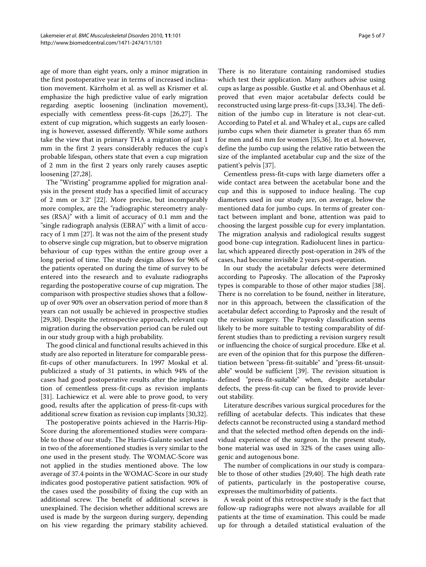age of more than eight years, only a minor migration in the first postoperative year in terms of increased inclination movement. Kärrholm et al. as well as Krismer et al. emphasize the high predictive value of early migration regarding aseptic loosening (inclination movement), especially with cementless press-fit-cups [\[26](#page-5-25)[,27](#page-5-26)]. The extent of cup migration, which suggests an early loosening is however, assessed differently. While some authors take the view that in primary THA a migration of just 1 mm in the first 2 years considerably reduces the cup's probable lifespan, others state that even a cup migration of 2 mm in the first 2 years only rarely causes aseptic loosening [[27,](#page-5-26)[28\]](#page-6-0).

The "Wristing" programme applied for migration analysis in the present study has a specified limit of accuracy of 2 mm or 3.2° [[22\]](#page-5-20). More precise, but incomparably more complex, are the "radiographic stereometry analyses (RSA)" with a limit of accuracy of 0.1 mm and the "single radiograph analysis (EBRA)" with a limit of accuracy of 1 mm [\[27](#page-5-26)]. It was not the aim of the present study to observe single cup migration, but to observe migration behaviour of cup types within the entire group over a long period of time. The study design allows for 96% of the patients operated on during the time of survey to be entered into the research and to evaluate radiographs regarding the postoperative course of cup migration. The comparison with prospective studies shows that a followup of over 90% over an observation period of more than 8 years can not usually be achieved in prospective studies [[29,](#page-6-1)[30\]](#page-6-2). Despite the retrospective approach, relevant cup migration during the observation period can be ruled out in our study group with a high probability.

The good clinical and functional results achieved in this study are also reported in literature for comparable pressfit-cups of other manufacturers. In 1997 Moskal et al. publicized a study of 31 patients, in which 94% of the cases had good postoperative results after the implantation of cementless press-fit-cups as revision implants [[31\]](#page-6-3). Lachiewicz et al. were able to prove good, to very good, results after the application of press-fit-cups with additional screw fixation as revision cup implants [\[30](#page-6-2)[,32](#page-6-4)].

The postoperative points achieved in the Harris-Hip-Score during the aforementioned studies were comparable to those of our study. The Harris-Galante socket used in two of the aforementioned studies is very similar to the one used in the present study. The WOMAC-Score was not applied in the studies mentioned above. The low average of 37.4 points in the WOMAC-Score in our study indicates good postoperative patient satisfaction. 90% of the cases used the possibility of fixing the cup with an additional screw. The benefit of additional screws is unexplained. The decision whether additional screws are used is made by the surgeon during surgery, depending on his view regarding the primary stability achieved.

There is no literature containing randomised studies which test their application. Many authors advise using cups as large as possible. Gustke et al. and Obenhaus et al. proved that even major acetabular defects could be reconstructed using large press-fit-cups [[33](#page-6-5),[34\]](#page-6-6). The definition of the jumbo cup in literature is not clear-cut. According to Patel et al. and Whaley et al., cups are called jumbo cups when their diameter is greater than 65 mm for men and 61 mm for women [\[35](#page-6-7)[,36](#page-6-8)]. Ito et al. however, define the jumbo cup using the relative ratio between the size of the implanted acetabular cup and the size of the patient's pelvis [\[37](#page-6-9)].

Cementless press-fit-cups with large diameters offer a wide contact area between the acetabular bone and the cup and this is supposed to induce healing. The cup diameters used in our study are, on average, below the mentioned data for jumbo cups. In terms of greater contact between implant and bone, attention was paid to choosing the largest possible cup for every implantation. The migration analysis and radiological results suggest good bone-cup integration. Radiolucent lines in particular, which appeared directly post-operation in 24% of the cases, had become invisible 2 years post-operation.

In our study the acetabular defects were determined according to Paprosky. The allocation of the Paprosky types is comparable to those of other major studies [\[38](#page-6-10)]. There is no correlation to be found, neither in literature, nor in this approach, between the classification of the acetabular defect according to Paprosky and the result of the revision surgery. The Paprosky classification seems likely to be more suitable to testing comparability of different studies than to predicting a revision surgery result or influencing the choice of surgical procedure. Elke et al. are even of the opinion that for this purpose the differentiation between "press-fit-suitable" and "press-fit-unsuitable" would be sufficient [\[39](#page-6-11)]. The revision situation is defined "press-fit-suitable" when, despite acetabular defects, the press-fit-cup can be fixed to provide leverout stability.

Literature describes various surgical procedures for the refilling of acetabular defects. This indicates that these defects cannot be reconstructed using a standard method and that the selected method often depends on the individual experience of the surgeon. In the present study, bone material was used in 32% of the cases using allogenic and autogenous bone.

The number of complications in our study is comparable to those of other studies [[29](#page-6-1),[40](#page-6-12)]. The high death rate of patients, particularly in the postoperative course, expresses the multimorbidity of patients.

A weak point of this retrospective study is the fact that follow-up radiographs were not always available for all patients at the time of examination. This could be made up for through a detailed statistical evaluation of the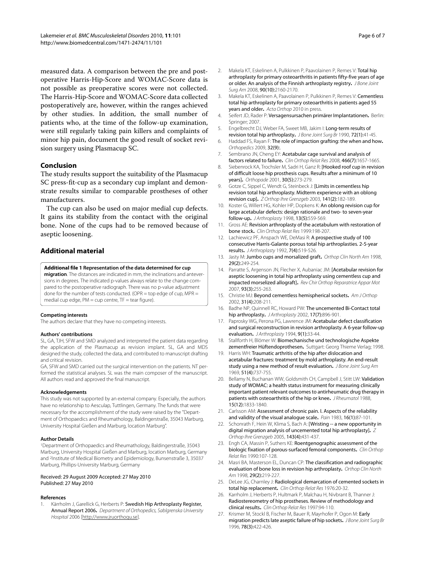measured data. A comparison between the pre and postoperative Harris-Hip-Score and WOMAC-Score data is not possible as preoperative scores were not collected. The Harris-Hip-Score and WOMAC-Score data collected postoperatively are, however, within the ranges achieved by other studies. In addition, the small number of patients who, at the time of the follow-up examination, were still regularly taking pain killers and complaints of minor hip pain, document the good result of socket revision surgery using Plasmacup SC.

#### **Conclusion**

The study results support the suitability of the Plasmacup SC press-fit-cup as a secondary cup implant and demonstrate results similar to comparable prostheses of other manufacturers.

The cup can also be used on major medial cup defects. It gains its stability from the contact with the original bone. None of the cups had to be removed because of aseptic loosening.

#### **Additional material**

#### <span id="page-5-24"></span>**[Additional file 1](http://www.biomedcentral.com/content/supplementary/1471-2474-11-101-S1.DOC) Representation of the data determined for cup**

**migration**. The distances are indicated in mm, the inclinations and anteversions in degrees. The indicated p-values always relate to the change compared to the postoperative radiograph. There was no p-value adjustment done for the number of tests conducted. (OPR = top edge of cup, MPR = medial cup edge, PM = cup centre, TF = tear figure).

#### **Competing interests**

The authors declare that they have no competing interests.

#### **Authors' contributions**

SL, GA, TJH, SFW and SMD analyzed and interpreted the patient data regarding the application of the Plasmacup as revision implant. SL, GA and MDS designed the study, collected the data, and contributed to manuscript drafting and critical revision.

GA, SFW and SMD carried out the surgical intervention on the patients. NT performed the statistical analyses. SL was the main composer of the manuscript. All authors read and approved the final manuscript.

#### **Acknowledgements**

This study was not supported by an external company. Especially, the authors have no relationship to Aesculap, Tuttlingen, Germany. The funds that were necessary for the accomplishment of the study were raised by the "Department of Orthopaedics and Rheumathology, Baldingerstraße, 35043 Marburg, University Hospital Gießen and Marburg, location Marburg".

#### **Author Details**

1Department of Orthopaedics and Rheumathology, Baldingerstraße, 35043 Marburg, University Hospital Gießen and Marburg, location Marburg, Germany and 2Institute of Medical Biometry and Epidemiology, Bunsenstraße 3, 35037 Marburg, Phillips-University Marburg, Germany

#### Received: 29 August 2009 Accepted: 27 May 2010 Published: 27 May 2010

#### **References**

<span id="page-5-0"></span>Kärrholm J, Garellick G, Herberts P: Swedish Hip Arthroplasty Register, Annual Report 2006**.** Department of Orthopedics, Sablgrenska University Hospital 2006 [\[http://www.jruorthogu.se](http://www.jruorthogu.se)].

- <span id="page-5-1"></span>2. Makela KT, Eskelinen A, Pulkkinen P, Paavolainen P, Remes V: Total hip arthroplasty for primary osteoarthritis in patients fifty-five years of age or older. An analysis of the Finnish arthroplasty registry**.** J Bone Joint Surg Am 2008, 90(10):2160-2170.
- <span id="page-5-2"></span>3. Makela KT, Eskelinen A, Paavolainen P, Pulkkinen P, Remes V: Cementless total hip arthroplasty for primary osteoarthritis in patients aged 55 years and older**[.](http://www.ncbi.nlm.nih.gov/entrez/query.fcgi?cmd=Retrieve&db=PubMed&dopt=Abstract&list_uids=20180718)** Acta Orthop 2010 in press.
- <span id="page-5-3"></span>4. Seifert JD, Rader P: Versagensursachen primärer Implantationen**.** Berlin: Springer; 2007.
- <span id="page-5-4"></span>5. Engelbrecht DJ, Weber FA, Sweet MB, Jakim I: Long-term results of revision total hip arthroplasty**.** J Bone Joint Surg Br 1990, 72(1):41-45.
- <span id="page-5-5"></span>6. Haddad FS, Rayan F: The role of impaction grafting: the when and how**.** Orthopedics 2009, 32(9):.
- <span id="page-5-6"></span>7. Sembrano JN, Cheng EY: Acetabular cage survival and analysis of factors related to failure**.** Clin Orthop Relat Res 2008, 466(7):1657-1665.
- <span id="page-5-7"></span>8. Siebenrock KA, Trochsler M, Sadri H, Ganz R: [Hooked roof cup in revision of difficult loose hip prosthesis cups. Results after a minimum of 10 years]**.** Orthopade 2001, 30(5):273-279.
- <span id="page-5-8"></span>9. Gotze C, Sippel C, Wendt G, Steinbeck J: [Limits in cementless hip revision total hip arthroplasty. Midterm experience with an oblong revision cup]**.** Z Orthop Ihre Grenzgeb 2003, 141(2):182-189.
- <span id="page-5-9"></span>10. Koster G, Willert HG, Kohler HP, Dopkens K: An oblong revision cup for large acetabular defects: design rationale and two- to seven-year follow-up**.** J Arthroplasty 1998, 13(5):559-569.
- <span id="page-5-10"></span>11. Gross AE: Revision arthroplasty of the acetabulum with restoration of bone stock**.** Clin Orthop Relat Res 1999:198-207.
- 12. Lachiewicz PF, Anspach WE, DeMasi R: A prospective study of 100 consecutive Harris-Galante porous total hip arthroplasties. 2-5-year results**.** J Arthroplasty 1992, 7(4):519-526.
- <span id="page-5-11"></span>13. Jasty M: Jumbo cups and morsalized graft**.** Orthop Clin North Am 1998, 29(2):249-254.
- <span id="page-5-12"></span>14. Parratte S, Argenson JN, Flecher X, Aubaniac JM: [Acetabular revision for aseptic loosening in total hip arthroplasty using cementless cup and impacted morselized allograft]**.** Rev Chir Orthop Reparatrice Appar Mot 2007, 93(3):255-263.
- <span id="page-5-13"></span>15. Christie MJ: Beyond cementless hemispherical sockets**.** Am J Orthop 2002, 31(4):208-211.
- <span id="page-5-14"></span>16. Badhe NP, Quinnell RC, Howard PW: The uncemented Bi-Contact total hip arthroplasty**.** J Arthroplasty 2002, 17(7):896-901.
- <span id="page-5-15"></span>17. Paprosky WG, Perona PG, Lawrence JM: Acetabular defect classification and surgical reconstruction in revision arthroplasty. A 6-year follow-up evaluation**.** J Arthroplasty 1994, 9(1):33-44.
- <span id="page-5-16"></span>18. Stallforth H, Blömer W: Biomechanische und technologische Aspekte zementfreier Hüftendoprothesen**.** Suttgart: Georg Thieme Verlag; 1998.
- <span id="page-5-17"></span>19. Harris WH: Traumatic arthritis of the hip after dislocation and acetabular fractures: treatment by mold arthroplasty. An end-result study using a new method of result evaluation. J Bone Joint Surg Am 1969, 51(4):737-755.
- <span id="page-5-18"></span>20. Bellamy N, Buchanan WW, Goldsmith CH, Campbell J, Stitt LW: Validation study of WOMAC: a health status instrument for measuring clinically important patient relevant outcomes to antirheumatic drug therapy in patients with osteoarthritis of the hip or knee**.** J Rheumatol 1988, 15(12):1833-1840.
- <span id="page-5-19"></span>21. Carlsson AM: Assessment of chronic pain. I. Aspects of the reliability and validity of the visual analogue scale**[.](http://www.ncbi.nlm.nih.gov/entrez/query.fcgi?cmd=Retrieve&db=PubMed&dopt=Abstract&list_uids=6602967)** Pain 1983, 16(1):87-101.
- <span id="page-5-20"></span>22. Schonrath F, Hein W, Klima S, Bach A: [Wristing -- a new opportunity in digital migration analysis of uncemented total hip arthroplasty[\]](http://www.ncbi.nlm.nih.gov/entrez/query.fcgi?cmd=Retrieve&db=PubMed&dopt=Abstract&list_uids=16118759)**.** Z Orthop Ihre Grenzgeb 2005, 143(4):431-437.
- <span id="page-5-21"></span>23. Engh CA, Massin P, Suthers KE: Roentgenographic assessment of the biologic fixation of porous-surfaced femoral components**[.](http://www.ncbi.nlm.nih.gov/entrez/query.fcgi?cmd=Retrieve&db=PubMed&dopt=Abstract&list_uids=2199114)** Clin Orthop Relat Res 1990:107-128.
- <span id="page-5-22"></span>24. Masri BA, Masterson EL, Duncan CP: The classification and radiographic evaluation of bone loss in revision hip arthroplasty**.** Orthop Clin North Am 1998, 29(2):219-227.
- <span id="page-5-23"></span>25. DeLee JG, Charnley J: Radiological demarcation of cemented sockets in total hip replacement**.** Clin Orthop Relat Res 1976:20-32.
- <span id="page-5-25"></span>26. Karrholm J, Herberts P, Hultmark P, Malchau H, Nivbrant B, Thanner J: Radiostereometry of hip prostheses. Review of methodology and clinical results**.** Clin Orthop Relat Res 1997:94-110.
- <span id="page-5-26"></span>27. Krismer M, Stockl B, Fischer M, Bauer R, Mayrhofer P, Ogon M: Early migration predicts late aseptic failure of hip sockets**.** J Bone Joint Surg Br 1996, 78(3):422-426.